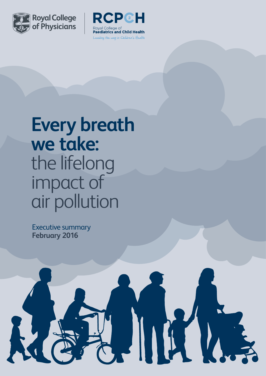



 $\|\,$ 

## **Every breath we take:** the lifelong impact of air pollution

Executive summary **February 2016**

R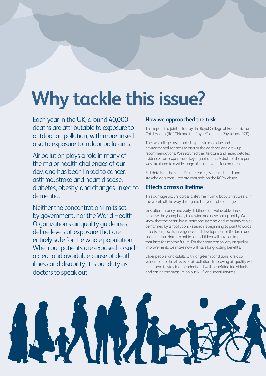# **Why tackle this issue?**

Each year in the UK, around 40,000 deaths are attributable to exposure to outdoor air pollution, with more linked also to exposure to indoor pollutants.

Air pollution plays a role in many of the major health challenges of our day, and has been linked to cancer, asthma, stroke and heart disease, diabetes, obesity, and changes linked to dementia.

Neither the concentration limits set by government, nor the World Health Organization's air quality guidelines, define levels of exposure that are entirely safe for the whole population. When our patients are exposed to such a clear and avoidable cause of death, illness and disability, it is our duty as doctors to speak out.

### **How we approached the task**

This report is a joint effort by the Royal College of Paediatrics and Child Health (RCPCH) and the Royal College of Physicians (RCP).

The two colleges assembled experts in medicine and environmental sciences to discuss the evidence and draw up recommendations. We searched the literature and heard detailed evidence from experts and key organisations. A draft of the report was circulated to a wide range of stakeholders for comment.

Full details of the scientific references, evidence heard and stakeholders consulted are available on the RCP website.<sup>1</sup>

### **Effects across a lifetime**

This damage occurs across a lifetime, from a baby's first weeks in the womb all the way through to the years of older age.

Gestation, infancy and early childhood are vulnerable times because the young body is growing and developing rapidly. We know that the heart, brain, hormone systems and immunity can all be harmed by air pollution. Research is beginning to point towards effects on growth, intelligence, and development of the brain and coordination. Harm to babies and children will have an impact that lasts far into the future. For the same reason, any air quality improvements we make now will have long-lasting benefits.

Older people, and adults with long-term conditions, are also vulnerable to the effects of air pollution. Improving air quality will help them to stay independent and well, benefiting individuals and easing the pressure on our NHS and social services.

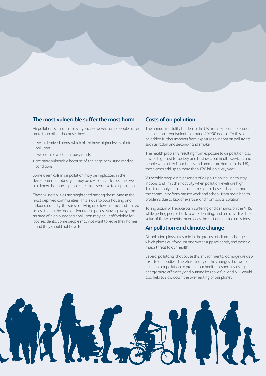### **The most vulnerable suffer the most harm**

Air pollution is harmful to everyone. However, some people suffer more than others because they:

- > live in deprived areas, which often have higher levels of air pollution
- > live, learn or work near busy roads
- > are more vulnerable because of their age or existing medical conditions.

Some chemicals in air pollution may be implicated in the development of obesity. It may be a vicious circle, because we also know that obese people are more sensitive to air pollution.

These vulnerabilities are heightened among those living in the most deprived communities. This is due to poor housing and indoor air quality, the stress of living on a low income, and limited access to healthy food and/or green spaces. Moving away from an area of high outdoor air pollution may be unaffordable for local residents. Some people may not want to leave their homes – and they should not have to.

#### **Costs of air pollution**

The annual mortality burden in the UK from exposure to outdoor air pollution is equivalent to around 40,000 deaths. To this can be added further impacts from exposure to indoor air pollutants such as radon and second-hand smoke.

The health problems resulting from exposure to air pollution also have a high cost to society and business, our health services, and people who suffer from illness and premature death. In the UK, these costs add up to more than £20 billion every year.

Vulnerable people are prisoners of air pollution, having to stay indoors and limit their activity when pollution levels are high. This is not only unjust; it carries a cost to these individuals and the community from missed work and school, from more health problems due to lack of exercise, and from social isolation.

Taking action will reduce pain, suffering and demands on the NHS, while getting people back to work, learning, and an active life. The value of these benefits far exceeds the cost of reducing emissions.

### **Air pollution and climate change**

Air pollution plays a key role in the process of climate change, which places our food, air and water supplies at risk, and poses a major threat to our health.

Several pollutants that cause this environmental damage are also toxic to our bodies. Therefore, many of the changes that would decrease air pollution to protect our health – especially using energy more efficiently and burning less solid fuel and oil – would also help to slow down the overheating of our planet.

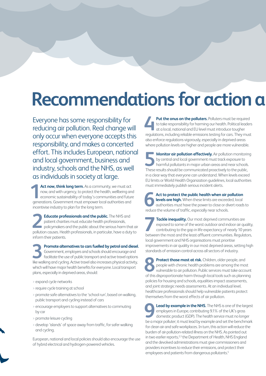### **Recommendations for action a**

Everyone has some responsibility for reducing air pollution. Real change will only occur when everyone accepts this responsibility, and makes a concerted effort. This includes European, national and local government, business and industry, schools and the NHS, as well as individuals in society at large.

Act now, think long term. As a community, we must act now, and with urgency, to protect the health, wellbeing and economic sustainability of today's communities and future Act now, think long term. As a community, we must act now, and with urgency, to protect the health, wellbeing an economic sustainability of today's communities and future generations. Government must empower local authorit incentivise industry to plan for the long term.

**Educate professionals and the public.** The NHS and patient charities must educate health professionals, policymakers and the public about the serious harm that air **Educate professionals and the public.** The NHS and patient charities must educate health professionals, policymakers and the public about the serious harm that air pollution causes. Health professionals, in particular, ha inform their patients.

**Promote alternatives to cars fuelled by petrol and diesel.** Government, employers and schools should encourage and facilitate the use of public transport and active travel options **Promote alternatives to cars fuelled by petrol and diesel.**<br> **3** Government, employers and schools should encourage and facilitate the use of public transport and active travel options like walking and cycling. Active tra which will have major health benefits for everyone. Local transport plans, especially in deprived areas, should:

- > expand cycle networks
- > require cycle training at school
- > promote safe alternatives to the 'school run', based on walking, public transport and cycling instead of cars
- > encourage employers to support alternatives to commuting by car
- > promote leisure cycling
- > develop 'islands' of space away from traffic, for safer walking and cycling.

European, national and local policies should also encourage the use of hybrid electrical and hydrogen-powered vehicles.

**Put the onus on the polluters.** Polluters must be required to take responsibility for harming our health. Political leaders at a local, national and EU level must introduce tougher **Put the onus on the polluters.** Polluters must be required to take responsibility for harming our health. Political leaders at a local, national and EU level must introduce tougher regulations, including reliable emission also enforce regulations vigorously, especially in deprived areas where pollution levels are higher and people are more vulnerable.

**Monitor air pollution effectively.** Air pollution monitoring by central and local government must track exposure to harmful pollutants in major urban areas and near schools. **Monitor air pollution effectively.** Air pollution monitoring by central and local government must track exposure to harmful pollutants in major urban areas and near schools. These results should be communicated proactivel in a clear way that everyone can understand. When levels exceed EU limits or World Health Organization guidelines, local authorities must immediately publish serious incident alerts.

**Act to protect the public health when air pollution**  levels are high. When these limits are exceeded, local authorities *must* have the power to close or divert roads to reduce the volume of traffic, especially near schools. **6**

**Tackle inequality.** Our most deprived communities are exposed to some of the worst outdoor and indoor air quality, contributing to the gap in life expectancy of nearly 10 years between the most and the least affluent communities. Regulators, local government and NHS organisations must prioritise improvements in air quality in our most deprived areas, setting high standards of emission control across all sectors of industry. **7**

**Protect those most at risk.** Children, older people, and people with chronic health problems are among the most vulnerable to air pollution. Public services must take account **8** Protect those most at risk. Children, older people, and people with chronic health problems are among the most vulnerable to air pollution. Public services must take account of this disproportionate harm through local policies for housing and schools, equalities impact assessments, and joint strategic needs assessments. At an individual level, healthcare professionals should help vulnerable patients protect themselves from the worst effects of air pollution.

**Lead by example in the NHS.** The NHS is one of the largest employers in Europe, contributing 9.1% of the UK's gross domestic product (GDP). The health service must no longer **Lead by example in the NHS.** The NHS is one of the largest employers in Europe, contributing 9.1% of the UK's gross domestic product (GDP). The health service must no longer be a major polluter; it must lead by example an for clean air and safe workplaces. In turn, this action will reduce the burden of air-pollution-related illness on the NHS. As pointed out in two earlier reports,<sup>2,3</sup> the Department of Health, NHS England and the devolved administrations must give commissioners and providers incentives to reduce their emissions, and protect their employees and patients from dangerous pollutants.<sup>4</sup>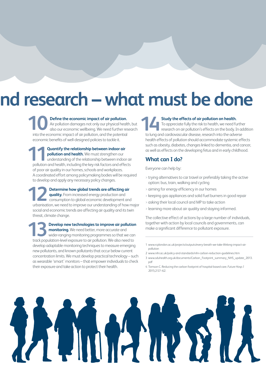## nd research – what must be done

**Define the economic impact of air pollution.** Air pollution damages not only our physical health, but also our economic wellbeing. We need further research into the economic impact of air pollution, and the potential economic benefits of well-designed policies to tackle it. **10**

**Quantify the relationship between indoor air pollution and health.** We must strengthen our understanding of the relationship between indoor air pollution and health, including the key risk factors and effects of poor air quality in our homes, schools and workplaces. A coordinated effort among policymaking bodies will be required to develop and apply any necessary policy changes. **11**

**Determine how global trends are affecting air quality.** From increased energy production and consumption to global economic development and urbanisation, we need to improve our understanding of how major social and economic trends are affecting air quality and its twin threat, climate change. **12**

**Develop new technologies to improve air pollution monitoring.** We need better, more accurate and wider-ranging monitoring programmes so that we can track population-level exposure to air pollution. We also need to develop adaptable monitoring techniques to measure emerging new pollutants, and known pollutants that occur below current concentration limits. We must develop practical technology – such as wearable 'smart' monitors – that empower individuals to check their exposure and take action to protect their health. **13**

#### **Study the effects of air pollution on health.**

To appreciate fully the risk to health, we need further research on air pollution's effects on the body. In addition to lung and cardiovascular disease, research into the adverse health effects of pollution should accommodate systemic effects such as obesity, diabetes, changes linked to dementia, and cancer, as well as effects on the developing fetus and in early childhood. **14**

#### **What can I do?**

Everyone can help by:

- > trying alternatives to car travel or preferably taking the active option: bus, train, walking and cycling
- > aiming for energy efficiency in our homes
- > keeping gas appliances and solid fuel burners in good repair
- > asking their local council and MP to take action
- > learning more about air quality and staying informed.

The collective effect of actions by a large number of individuals, together with action by local councils and governments, can make a significant difference to pollutant exposure.

- [1 www.rcplondon.ac.uk/projects/outputs/every-breath-we-take-lifelong-impact-air](https://www.rcplondon.ac.uk/projects/outputs/every-breath-we-take-lifelong-impact-air-pollution)pollution
- 2 www.nihr.ac.uk/policy-and-standards/nihr-carbon-reduction-guidelines.htm
- [3 www.sduhealth.org.uk/documents/Carbon\\_Footprint\\_summary\\_NHS\\_update\\_2013.](http://www.sduhealth.org.uk/documents/carbon_footprint_summary_nhs_update_2013.pdf) pdf
- 4 Tomson C. Reducing the carbon footprint of hospital-based care. *Future Hosp J* 2015;2:57–62.